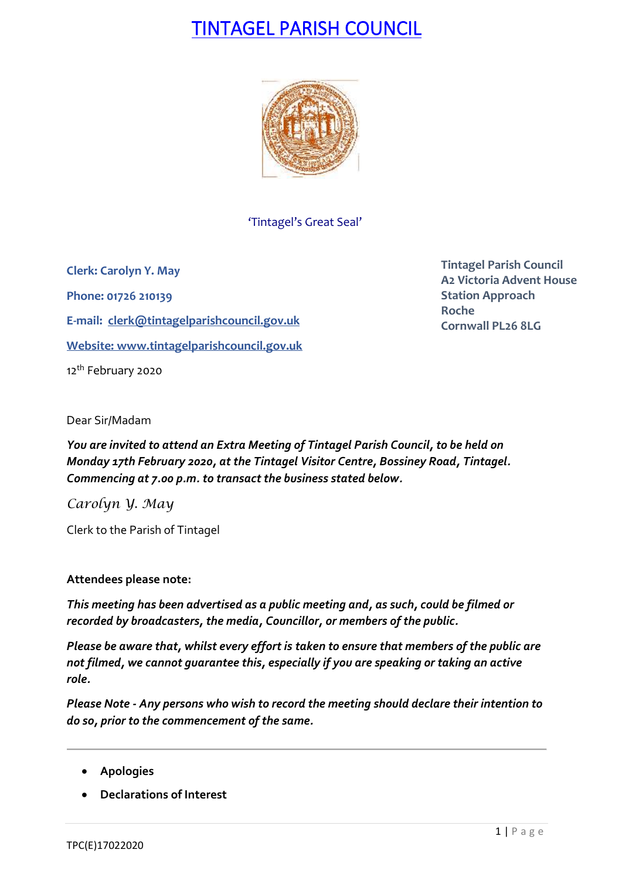# TINTAGEL PARISH COUNCIL



'Tintagel's Great Seal'

**Clerk: Carolyn Y. May Phone: 01726 210139 E-mail: [clerk@tintagelparishcouncil.gov.uk](mailto:clerk@tintagelparishcouncil.gov.uk) Website: [www.tintagelparishcouncil.gov.uk](http://www.tintagelparishcouncil.gov.uk/)** 12<sup>th</sup> February 2020

**Tintagel Parish Council A2 Victoria Advent House Station Approach Roche Cornwall PL26 8LG**

Dear Sir/Madam

*You are invited to attend an Extra Meeting of Tintagel Parish Council, to be held on Monday 17th February 2020, at the Tintagel Visitor Centre, Bossiney Road, Tintagel. Commencing at 7.00 p.m. to transact the business stated below.*

*Carolyn Y. May*

Clerk to the Parish of Tintagel

## **Attendees please note:**

*This meeting has been advertised as a public meeting and, as such, could be filmed or recorded by broadcasters, the media, Councillor, or members of the public.*

*Please be aware that, whilst every effort is taken to ensure that members of the public are not filmed, we cannot guarantee this, especially if you are speaking or taking an active role.*

*Please Note - Any persons who wish to record the meeting should declare their intention to do so, prior to the commencement of the same.*

- **Apologies**
- **Declarations of Interest**